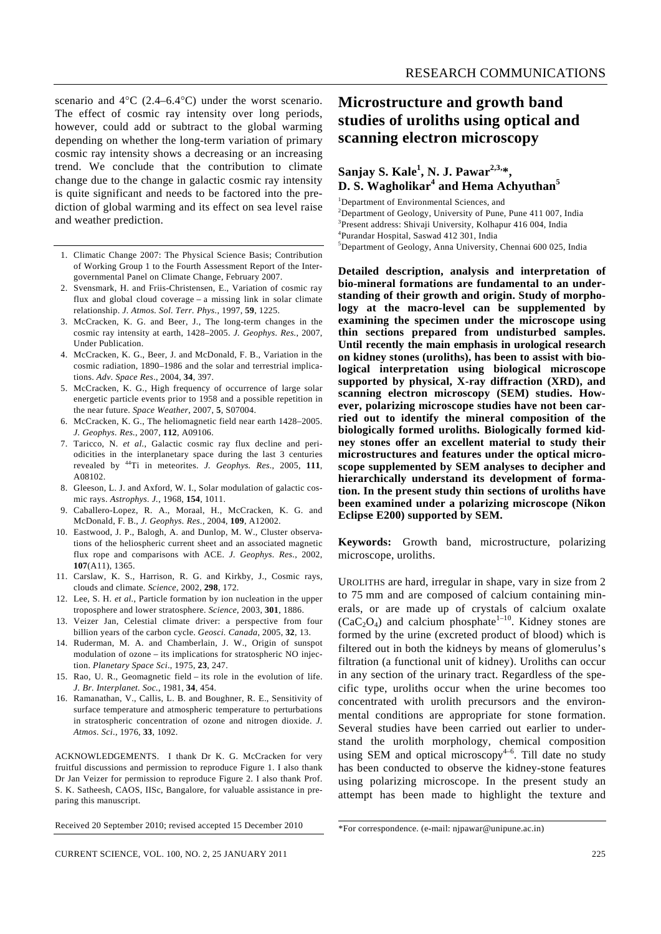scenario and 4°C (2.4–6.4°C) under the worst scenario. The effect of cosmic ray intensity over long periods, however, could add or subtract to the global warming depending on whether the long-term variation of primary cosmic ray intensity shows a decreasing or an increasing trend. We conclude that the contribution to climate change due to the change in galactic cosmic ray intensity is quite significant and needs to be factored into the prediction of global warming and its effect on sea level raise and weather prediction.

- 1. Climatic Change 2007: The Physical Science Basis; Contribution of Working Group 1 to the Fourth Assessment Report of the Intergovernmental Panel on Climate Change, February 2007.
- 2. Svensmark, H. and Friis-Christensen, E., Variation of cosmic ray flux and global cloud coverage – a missing link in solar climate relationship. *J. Atmos. Sol. Terr. Phys.*, 1997, **59**, 1225.
- 3. McCracken, K. G. and Beer, J., The long-term changes in the cosmic ray intensity at earth, 1428–2005. *J. Geophys. Res.*, 2007, Under Publication.
- 4. McCracken, K. G., Beer, J. and McDonald, F. B., Variation in the cosmic radiation, 1890–1986 and the solar and terrestrial implications. *Adv. Space Res*., 2004, **34**, 397.
- 5. McCracken, K. G., High frequency of occurrence of large solar energetic particle events prior to 1958 and a possible repetition in the near future. *Space Weather*, 2007, **5**, S07004.
- 6. McCracken, K. G., The heliomagnetic field near earth 1428–2005. *J. Geophys. Res.*, 2007, **112**, A09106.
- 7. Taricco, N. *et al.*, Galactic cosmic ray flux decline and periodicities in the interplanetary space during the last 3 centuries revealed by 44Ti in meteorites. *J. Geophys. Res.*, 2005, **111**, A08102.
- 8. Gleeson, L. J. and Axford, W. I., Solar modulation of galactic cosmic rays. *Astrophys. J.*, 1968, **154**, 1011.
- 9. Caballero-Lopez, R. A., Moraal, H., McCracken, K. G. and McDonald, F. B., *J. Geophys. Res*., 2004, **109**, A12002.
- 10. Eastwood, J. P., Balogh, A. and Dunlop, M. W., Cluster observations of the heliospheric current sheet and an associated magnetic flux rope and comparisons with ACE. *J. Geophys. Res*., 2002, **107**(A11), 1365.
- 11. Carslaw, K. S., Harrison, R. G. and Kirkby, J., Cosmic rays, clouds and climate. *Science*, 2002, **298**, 172.
- 12. Lee, S. H. *et al.*, Particle formation by ion nucleation in the upper troposphere and lower stratosphere. *Science*, 2003, **301**, 1886.
- 13. Veizer Jan, Celestial climate driver: a perspective from four billion years of the carbon cycle. *Geosci. Canada*, 2005, **32**, 13.
- 14. Ruderman, M. A. and Chamberlain, J. W., Origin of sunspot modulation of ozone – its implications for stratospheric NO injection. *Planetary Space Sci*., 1975, **23**, 247.
- 15. Rao, U. R., Geomagnetic field its role in the evolution of life. *J. Br. Interplanet. Soc.*, 1981, **34**, 454.
- 16. Ramanathan, V., Callis, L. B. and Boughner, R. E., Sensitivity of surface temperature and atmospheric temperature to perturbations in stratospheric concentration of ozone and nitrogen dioxide. *J. Atmos. Sci*., 1976, **33**, 1092.

ACKNOWLEDGEMENTS. I thank Dr K. G. McCracken for very fruitful discussions and permission to reproduce Figure 1. I also thank Dr Jan Veizer for permission to reproduce Figure 2. I also thank Prof. S. K. Satheesh, CAOS, IISc, Bangalore, for valuable assistance in preparing this manuscript.

Received 20 September 2010; revised accepted 15 December 2010

## **Microstructure and growth band studies of uroliths using optical and scanning electron microscopy**

## **Sanjay S. Kale<sup>1</sup> , N. J. Pawar2,3,\*, D. S. Wagholikar<sup>4</sup> and Hema Achyuthan<sup>5</sup>**

<sup>1</sup>Department of Environmental Sciences, and

<sup>2</sup>Department of Geology, University of Pune, Pune 411 007, India  $\frac{3 \text{Preson }t}{2 \text{Preson }t}$  of the University Kolbany 416 004. India <sup>3</sup>Present address: Shivaji University, Kolhapur 416 004, India 4 Purandar Hospital, Saswad 412 301, India 5 Department of Geology, Anna University, Chennai 600 025, India

**Detailed description, analysis and interpretation of bio-mineral formations are fundamental to an understanding of their growth and origin. Study of morphology at the macro-level can be supplemented by examining the specimen under the microscope using thin sections prepared from undisturbed samples. Until recently the main emphasis in urological research on kidney stones (uroliths), has been to assist with biological interpretation using biological microscope supported by physical, X-ray diffraction (XRD), and scanning electron microscopy (SEM) studies. However, polarizing microscope studies have not been carried out to identify the mineral composition of the biologically formed uroliths. Biologically formed kidney stones offer an excellent material to study their microstructures and features under the optical microscope supplemented by SEM analyses to decipher and hierarchically understand its development of formation. In the present study thin sections of uroliths have been examined under a polarizing microscope (Nikon Eclipse E200) supported by SEM.** 

**Keywords:** Growth band, microstructure, polarizing microscope, uroliths.

UROLITHS are hard, irregular in shape, vary in size from 2 to 75 mm and are composed of calcium containing minerals, or are made up of crystals of calcium oxalate  $(CaC_2O_4)$  and calcium phosphate<sup>1–10</sup>. Kidney stones are formed by the urine (excreted product of blood) which is filtered out in both the kidneys by means of glomerulus's filtration (a functional unit of kidney). Uroliths can occur in any section of the urinary tract. Regardless of the specific type, uroliths occur when the urine becomes too concentrated with urolith precursors and the environmental conditions are appropriate for stone formation. Several studies have been carried out earlier to understand the urolith morphology, chemical composition using SEM and optical microscopy $4-6$ . Till date no study has been conducted to observe the kidney-stone features using polarizing microscope. In the present study an attempt has been made to highlight the texture and

<sup>\*</sup>For correspondence. (e-mail: njpawar@unipune.ac.in)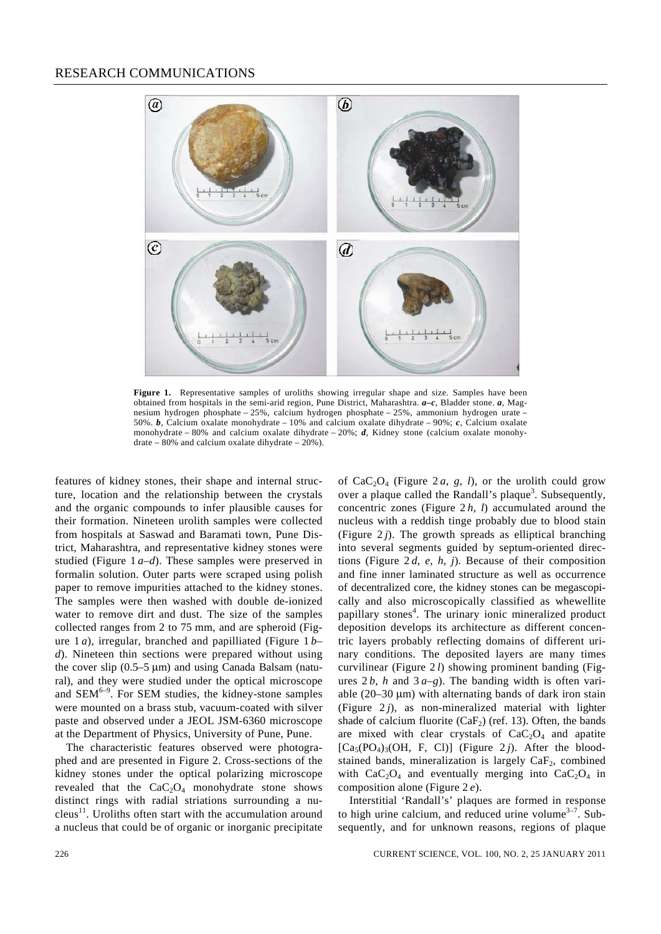

Figure 1. Representative samples of uroliths showing irregular shape and size. Samples have been obtained from hospitals in the semi-arid region, Pune District, Maharashtra. *a–c*, Bladder stone. *a*, Magnesium hydrogen phosphate – 25%, calcium hydrogen phosphate – 25%, ammonium hydrogen urate – 50%. *b*, Calcium oxalate monohydrate – 10% and calcium oxalate dihydrate – 90%; *c*, Calcium oxalate monohydrate – 80% and calcium oxalate dihydrate – 20%; *d*, Kidney stone (calcium oxalate monohydrate – 80% and calcium oxalate dihydrate – 20%).

features of kidney stones, their shape and internal structure, location and the relationship between the crystals and the organic compounds to infer plausible causes for their formation. Nineteen urolith samples were collected from hospitals at Saswad and Baramati town, Pune District, Maharashtra, and representative kidney stones were studied (Figure 1 *a–d*). These samples were preserved in formalin solution. Outer parts were scraped using polish paper to remove impurities attached to the kidney stones. The samples were then washed with double de-ionized water to remove dirt and dust. The size of the samples collected ranges from 2 to 75 mm, and are spheroid (Figure 1 *a*), irregular, branched and papilliated (Figure 1 *b– d*). Nineteen thin sections were prepared without using the cover slip (0.5–5 μm) and using Canada Balsam (natural), and they were studied under the optical microscope and  $SEM<sup>6-9</sup>$ . For SEM studies, the kidney-stone samples were mounted on a brass stub, vacuum-coated with silver paste and observed under a JEOL JSM-6360 microscope at the Department of Physics, University of Pune, Pune.

 The characteristic features observed were photographed and are presented in Figure 2. Cross-sections of the kidney stones under the optical polarizing microscope revealed that the  $CaC<sub>2</sub>O<sub>4</sub>$  monohydrate stone shows distinct rings with radial striations surrounding a nu $c$ leus<sup>11</sup>. Uroliths often start with the accumulation around a nucleus that could be of organic or inorganic precipitate of  $CaC<sub>2</sub>O<sub>4</sub>$  (Figure 2*a*, *g*, *l*), or the urolith could grow over a plaque called the Randall's plaque<sup>3</sup>. Subsequently, concentric zones (Figure  $2h$ , *l*) accumulated around the nucleus with a reddish tinge probably due to blood stain (Figure  $2j$ ). The growth spreads as elliptical branching into several segments guided by septum-oriented directions (Figure 2 *d*, *e*, *h*, *j*). Because of their composition and fine inner laminated structure as well as occurrence of decentralized core, the kidney stones can be megascopically and also microscopically classified as whewellite papillary stones<sup>4</sup>. The urinary ionic mineralized product deposition develops its architecture as different concentric layers probably reflecting domains of different urinary conditions. The deposited layers are many times curvilinear (Figure 2 *l*) showing prominent banding (Figures  $2 b$ , *h* and  $3 a-g$ ). The banding width is often variable  $(20-30 \mu m)$  with alternating bands of dark iron stain (Figure  $2j$ ), as non-mineralized material with lighter shade of calcium fluorite ( $CaF<sub>2</sub>$ ) (ref. 13). Often, the bands are mixed with clear crystals of  $CaC<sub>2</sub>O<sub>4</sub>$  and apatite  $[Ca_5(PO_4)_3(OH, F, Cl)]$  (Figure 2*j*). After the bloodstained bands, mineralization is largely  $CaF<sub>2</sub>$ , combined with  $CaC<sub>2</sub>O<sub>4</sub>$  and eventually merging into  $CaC<sub>2</sub>O<sub>4</sub>$  in composition alone (Figure 2 *e*).

 Interstitial 'Randall's' plaques are formed in response to high urine calcium, and reduced urine volume $3-7$ . Subsequently, and for unknown reasons, regions of plaque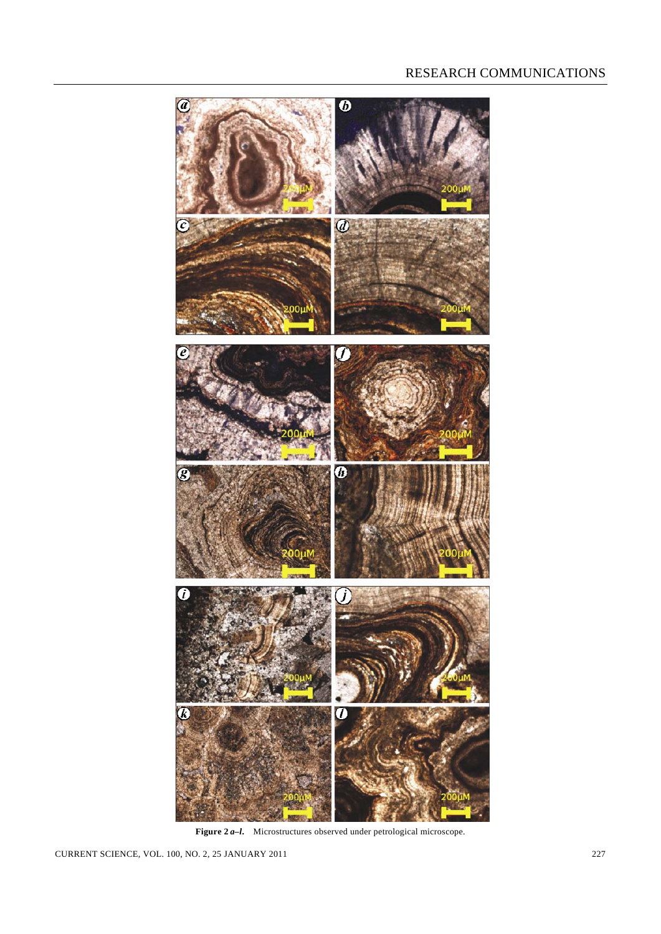

**Figure 2** *a–l***.** Microstructures observed under petrological microscope.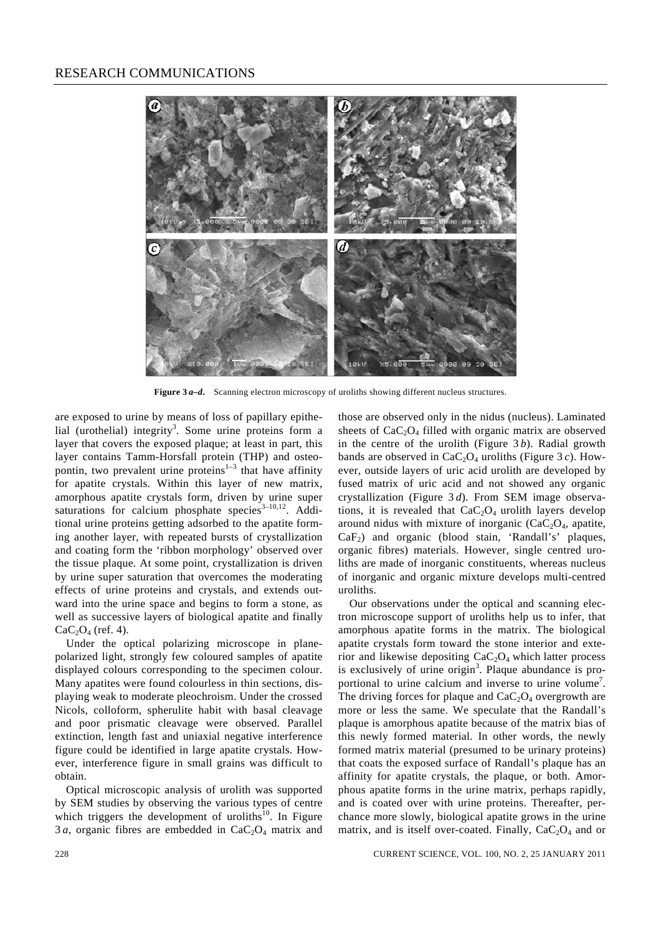

**Figure 3** *a–d***.** Scanning electron microscopy of uroliths showing different nucleus structures.

are exposed to urine by means of loss of papillary epithelial (urothelial) integrity<sup>3</sup>. Some urine proteins form a layer that covers the exposed plaque; at least in part, this layer contains Tamm-Horsfall protein (THP) and osteopontin, two prevalent urine proteins<sup> $1-3$ </sup> that have affinity for apatite crystals. Within this layer of new matrix, amorphous apatite crystals form, driven by urine super saturations for calcium phosphate species $3-10,12$ . Additional urine proteins getting adsorbed to the apatite forming another layer, with repeated bursts of crystallization and coating form the 'ribbon morphology' observed over the tissue plaque. At some point, crystallization is driven by urine super saturation that overcomes the moderating effects of urine proteins and crystals, and extends outward into the urine space and begins to form a stone, as well as successive layers of biological apatite and finally  $CaC<sub>2</sub>O<sub>4</sub>$  (ref. 4).

 Under the optical polarizing microscope in planepolarized light, strongly few coloured samples of apatite displayed colours corresponding to the specimen colour. Many apatites were found colourless in thin sections, displaying weak to moderate pleochroism. Under the crossed Nicols, colloform, spherulite habit with basal cleavage and poor prismatic cleavage were observed. Parallel extinction, length fast and uniaxial negative interference figure could be identified in large apatite crystals. However, interference figure in small grains was difficult to obtain.

 Optical microscopic analysis of urolith was supported by SEM studies by observing the various types of centre which triggers the development of uroliths $10$ . In Figure  $3a$ , organic fibres are embedded in  $CaC<sub>2</sub>O<sub>4</sub>$  matrix and

those are observed only in the nidus (nucleus). Laminated sheets of  $CaC<sub>2</sub>O<sub>4</sub>$  filled with organic matrix are observed in the centre of the urolith (Figure 3 *b*). Radial growth bands are observed in  $CaC<sub>2</sub>O<sub>4</sub>$  uroliths (Figure 3 *c*). However, outside layers of uric acid urolith are developed by fused matrix of uric acid and not showed any organic crystallization (Figure 3 *d*). From SEM image observations, it is revealed that  $CaC<sub>2</sub>O<sub>4</sub>$  urolith layers develop around nidus with mixture of inorganic  $(CaC<sub>2</sub>O<sub>4</sub>$ , apatite, CaF2) and organic (blood stain, 'Randall's' plaques, organic fibres) materials. However, single centred uroliths are made of inorganic constituents, whereas nucleus of inorganic and organic mixture develops multi-centred uroliths.

 Our observations under the optical and scanning electron microscope support of uroliths help us to infer, that amorphous apatite forms in the matrix. The biological apatite crystals form toward the stone interior and exterior and likewise depositing  $CaC<sub>2</sub>O<sub>4</sub>$  which latter process is exclusively of urine origin<sup>3</sup>. Plaque abundance is proportional to urine calcium and inverse to urine volume<sup>7</sup>. The driving forces for plaque and  $CaC<sub>2</sub>O<sub>4</sub>$  overgrowth are more or less the same. We speculate that the Randall's plaque is amorphous apatite because of the matrix bias of this newly formed material. In other words, the newly formed matrix material (presumed to be urinary proteins) that coats the exposed surface of Randall's plaque has an affinity for apatite crystals, the plaque, or both. Amorphous apatite forms in the urine matrix, perhaps rapidly, and is coated over with urine proteins. Thereafter, perchance more slowly, biological apatite grows in the urine matrix, and is itself over-coated. Finally,  $CaC<sub>2</sub>O<sub>4</sub>$  and or